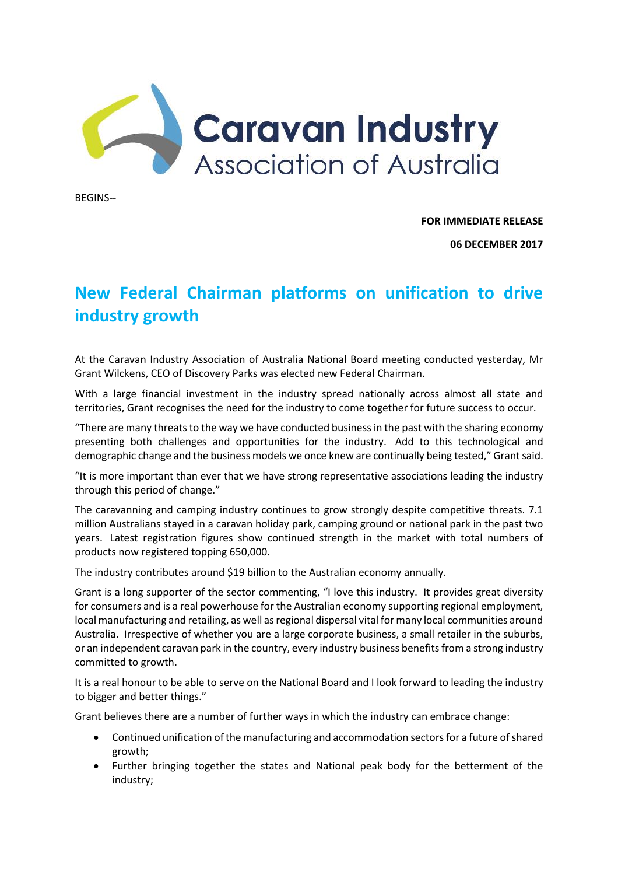

BEGINS--

**FOR IMMEDIATE RELEASE**

**06 DECEMBER 2017**

## **New Federal Chairman platforms on unification to drive industry growth**

At the Caravan Industry Association of Australia National Board meeting conducted yesterday, Mr Grant Wilckens, CEO of Discovery Parks was elected new Federal Chairman.

With a large financial investment in the industry spread nationally across almost all state and territories, Grant recognises the need for the industry to come together for future success to occur.

"There are many threats to the way we have conducted business in the past with the sharing economy presenting both challenges and opportunities for the industry. Add to this technological and demographic change and the business models we once knew are continually being tested," Grant said.

"It is more important than ever that we have strong representative associations leading the industry through this period of change."

The caravanning and camping industry continues to grow strongly despite competitive threats. 7.1 million Australians stayed in a caravan holiday park, camping ground or national park in the past two years. Latest registration figures show continued strength in the market with total numbers of products now registered topping 650,000.

The industry contributes around \$19 billion to the Australian economy annually.

Grant is a long supporter of the sector commenting, "I love this industry. It provides great diversity for consumers and is a real powerhouse for the Australian economy supporting regional employment, local manufacturing and retailing, as well as regional dispersal vital for many local communities around Australia. Irrespective of whether you are a large corporate business, a small retailer in the suburbs, or an independent caravan park in the country, every industry business benefits from a strong industry committed to growth.

It is a real honour to be able to serve on the National Board and I look forward to leading the industry to bigger and better things."

Grant believes there are a number of further ways in which the industry can embrace change:

- Continued unification of the manufacturing and accommodation sectors for a future of shared growth;
- Further bringing together the states and National peak body for the betterment of the industry;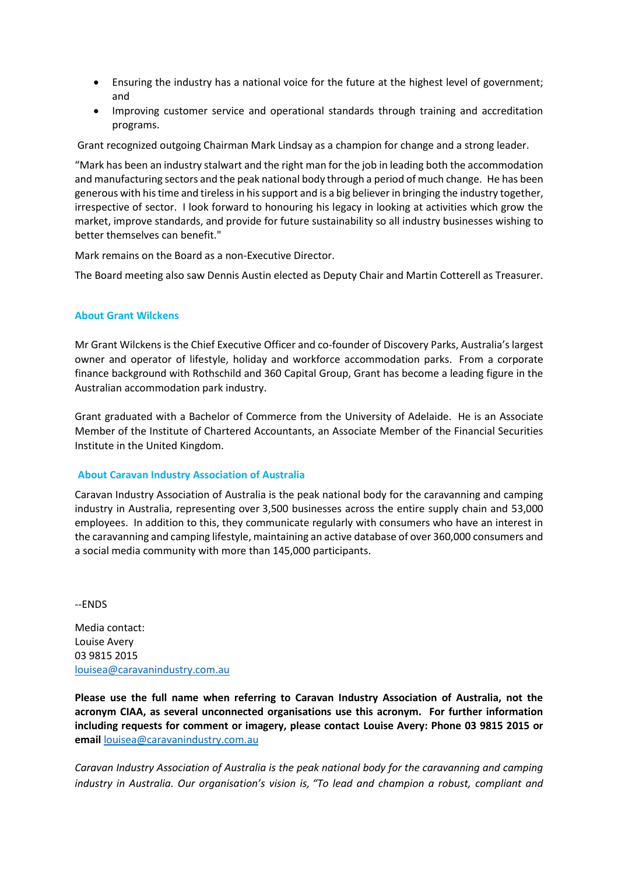- Ensuring the industry has a national voice for the future at the highest level of government; and
- Improving customer service and operational standards through training and accreditation programs.

Grant recognized outgoing Chairman Mark Lindsay as a champion for change and a strong leader.

"Mark has been an industry stalwart and the right man for the job in leading both the accommodation and manufacturing sectors and the peak national body through a period of much change. He has been generous with his time and tireless in his support and is a big believer in bringing the industry together, irrespective of sector. I look forward to honouring his legacy in looking at activities which grow the market, improve standards, and provide for future sustainability so all industry businesses wishing to better themselves can benefit."

Mark remains on the Board as a non-Executive Director.

The Board meeting also saw Dennis Austin elected as Deputy Chair and Martin Cotterell as Treasurer.

## **About Grant Wilckens**

Mr Grant Wilckens is the Chief Executive Officer and co-founder of Discovery Parks, Australia's largest owner and operator of lifestyle, holiday and workforce accommodation parks. From a corporate finance background with Rothschild and 360 Capital Group, Grant has become a leading figure in the Australian accommodation park industry.

Grant graduated with a Bachelor of Commerce from the University of Adelaide. He is an Associate Member of the Institute of Chartered Accountants, an Associate Member of the Financial Securities Institute in the United Kingdom.

## **About Caravan Industry Association of Australia**

Caravan Industry Association of Australia is the peak national body for the caravanning and camping industry in Australia, representing over 3,500 businesses across the entire supply chain and 53,000 employees. In addition to this, they communicate regularly with consumers who have an interest in the caravanning and camping lifestyle, maintaining an active database of over 360,000 consumers and a social media community with more than 145,000 participants.

--ENDS

Media contact: Louise Avery 03 9815 2015 [louisea@caravanindustry.com.au](mailto:louisea@caravanindustry.com.au)

**Please use the full name when referring to Caravan Industry Association of Australia, not the acronym CIAA, as several unconnected organisations use this acronym. For further information including requests for comment or imagery, please contact Louise Avery: Phone 03 9815 2015 or email** [louisea@caravanindustry.com.au](mailto:louisea@caravanindustry.com.au)

*Caravan Industry Association of Australia is the peak national body for the caravanning and camping industry in Australia. Our organisation's vision is, "To lead and champion a robust, compliant and*